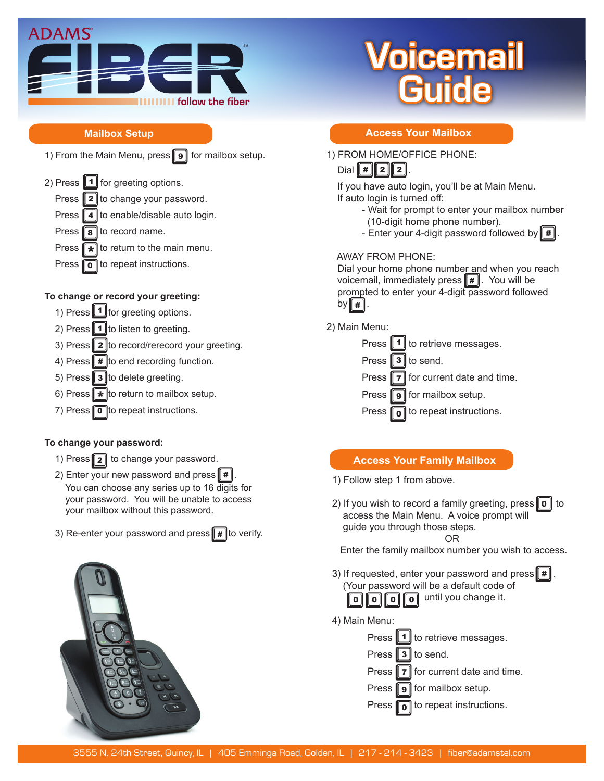

## **Mailbox Setup**

1) From the Main Menu, press  $\parallel$  9  $\parallel$  for mailbox setup.

2) Press  $\boxed{1}$  for greeting options. Press  $\|2\|$ to change your password.

Press  $\blacksquare$  4 to enable/disable auto login.

- Press  $\| \mathbf{s} \|$  to record name.
- Press  $\bullet$  to return to the main menu.
- Press  $\boxed{\bullet}$  to repeat instructions.

## **To change or record your greeting:**

- 1) Press 1 for greeting options.
- 2) Press  $\llbracket \mathbf{1} \rrbracket$ to listen to greeting.
- 3) Press  $\mathbf{2}$  to record/rerecord your greeting.
- 4) Press  $\parallel \# \parallel$ to end recording function.
- 5) Press  $\mathbf{3}$  to delete greeting.
- 6) Press  $\bigstar$  to return to mailbox setup.
- 7) Press  $\boxed{\bullet}$  to repeat instructions.

## **To change your password:**

- 1) Press  $\boxed{2}$  to change your password.
- 2) Enter your new password and press  $\llbracket \boldsymbol{\#} \rrbracket$ . You can choose any series up to 16 digits for your password. You will be unable to access your mailbox without this password.
- 3) Re-enter your password and press  $\parallel \# \parallel$ to verify.



# picemail **Guide**

# **Access Your Mailbox**

|| 2 || 2 || 1) FROM HOME/OFFICE PHONE: Dial  $\parallel \# \parallel$ 

 If you have auto login, you'll be at Main Menu. If auto login is turned off:

- **CALL FORWARD BUSH FORWARD** Wait for prompt to enter your mailbox number (10-digit home phone number).
	- Enter your 4-digit password followed by  $\llbracket \, \# \, \rrbracket$ .

## AWAY FROM PHONE:

Dial your home phone number and when you reach voicemail, immediately press # . You will be # prompted to enter your 4-digit password followed by  $\lceil \# \rceil$ .

2) Main Menu:



# **Access Your Family Mailbox**

- 1) Follow step 1 from above.
- 2) If you wish to record a family greeting, press 0 to 0 access the Main Menu. A voice prompt will guide you through those steps.

#### OR

Enter the family mailbox number you wish to access.

- 3) If requested, enter your password and press  $\llbracket \pmb{\#} \rrbracket$ . (Your password will be a default code of **o o o o** until you change it.  $\| 0 \| \overline{0} \|$
- 4) Main Menu:

|                            | Press 1 to retrieve messages.                   |
|----------------------------|-------------------------------------------------|
| Press $\boxed{3}$ to send. |                                                 |
|                            | Press 7 for current date and time.              |
|                            | Press $\boxed{9}$ for mailbox setup.            |
|                            | Press $\boxed{\bullet}$ to repeat instructions. |
|                            |                                                 |